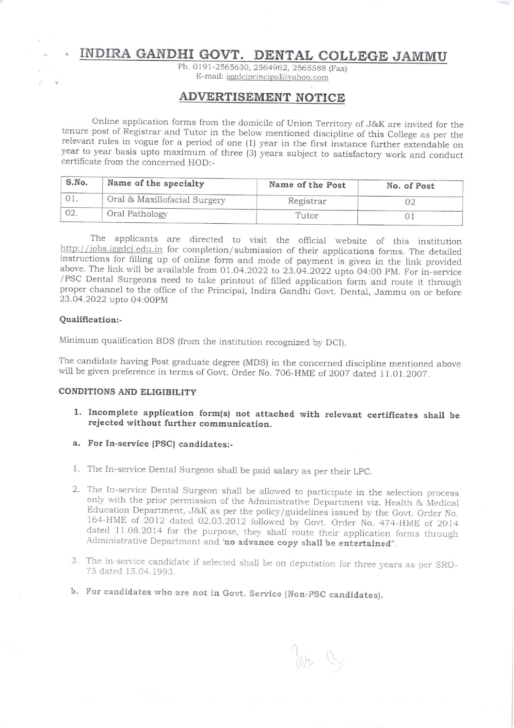# INDIRA GANDHI GOVT. DENTAL COLLEGE JAMMU

Ph. 0191-2565630, 2564962, 2565588 (Fax) E-mail: iggdcjprincipal@yahoo.com

### ADVERTISEMENT NOTICE

Online application forms from the domicile of Union Territory of J&K are invited for the tenure post of Registrar and Tutor in the below mentioned discipline of this College as per the relevant rules in vogue for a period

| S.No. | Name of the specialty        | Name of the Post | No. of Post |  |
|-------|------------------------------|------------------|-------------|--|
|       | Oral & Maxillofacial Surgery | Registrar        |             |  |
|       | Oral Pathology               | Tutor            |             |  |

The applicants are directed to visit the official website of this institution http://jobs.iggdcj.edu.in for completion/submission of their applications forms. The detailed instructions for filling up of online form and mode of payment is given in the link provided above. The link will be available from 01.04.2022 to 23.04.2022 upto 04:00 PM. For in-service /PSC Dental Surgeons need to take printout of filled application form and route it through proper channel to the office of the Principal, Indira Gandhi Govt. Dental, Jammu on or before 23.O4.2022 upto 04:00PM

#### Qualification:-

Minimum qualification BDS (from the institution recognized by DCI).

The candidate having Post graduate degree (MDS) in the concerned discipline mentioned above will be given preference in terms of Govt. Order No. 706-HME of 2007 dated 11.01.2007.

#### CONDITIONS AND ELIGIBILITY

- 1. Incomplete application form(s) not attached with relevant certificates shall be rejected without further communication.
- a. For In-service (PSC) candidates:-
- 1. The In-service Dental Surgeon shall be paid salary as per their LpC.
- 2. The In-service Dental surgeon shall be allowed to participate in the selection process only with the prior permission of the Administrative Department viz. Health & Medical Education Department, J&K as per the policy/guidelines issued by the Govt. Order No. 164-HME of 2012 dated 02.03.2012 followed by Govt.
- 3. The in-service candidate if selected shall be on deputation for three years as per SRO-<br>75 dated 15.04.1993.
- b. For candidates who are not in Govt. Service (Non-PSC candidates)

by Cy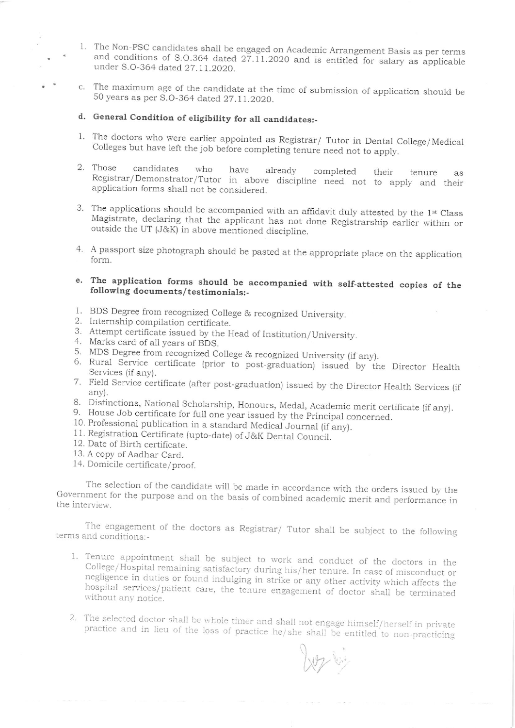- 1. The Non-PSC candidates shall be engaged on Academic Arrangement Basis as per terms and conditions of S.O.364 dated 27.11.2020 and is entitled for salary as applicable under S.O-364 dated 27.11.2020.
- c. The maximum age of the candidate at the time of submission of application should be 50 years as per S.O-364 dated 27.11.2020.

## d. General Condition of eligibility for all candidates:-

- 1. The doctors who were earlier appointed as Registrar/ Tutor in Dental College/Medical Colleges but have left the job before completing tenure need not to apply.
- Those candidates who have already completed their tenure as<br>Registrar/Demonstrator/Tutor in above discipline need not to apply and their<br>application forms shall not be considered. 2. Those to apply and their
- 3. The applications should be accompanied with an affidavit duly attested by the  $1st$  Class Magistrate, declaring that the applicant has not done Registrarship earlier within or outside the UT (J&K) in above mentioned dis
- <sup>A</sup>passport size photograph should be pasted at the appropriate place on the application form. +
- e. The application forms should be accompanied with self-attested copies of the following documents/testimonials:-
- 
- 
- 
- 
- 
- 1. BDS Degree from recognized College & recognized University.<br>
2. Internship compilation certificate.<br>
3. Attempt certificate issued by the Head of Institution/University.<br>
4. Marks card of all years of BDS.<br>
5. MDS Degre 6. Rural Service certificate (prior to post-graduation) issued by the Director Health
- 7. Field service certificate (after post-graduation) issued by the Director Heatth Services (if any).
- 8. Distinctions, National Scholarship, Honours, Medal, Academic merit certificate (if any).<br>9. House Job certificate for full one year issued by the Principal concerned.
- 
- 10. Professional publication in a standard Medical Journal (if any).
- 11. Registration Certificate (upto-date) of J&K Dental Council.
- 12. Date of Birth certificate.
- 13. A copy of Aadhar Card.
- 14. Domicile certificate/proof.

The selection of the candidate will be made in accordance with the orders issued by the Government for the purpose and on the basis of combined academic merit and performance in the interview.

The engagement of the doctors as Registrar/ Tutor shall be subject to the following terms and conditions:-

- 1. Tenure appointment shall be subject to work and conduct of the doctors in the College/Hospital remaining satisfactory during his/her tenure. In case of misconduct or negligence in duties or found indulging in strike or
- 2. The selected doctor shall be whole timer and shall not engage himself/herself in private practice and in lieu of the loss of practice he/she shall be entitled to non-practicing

W